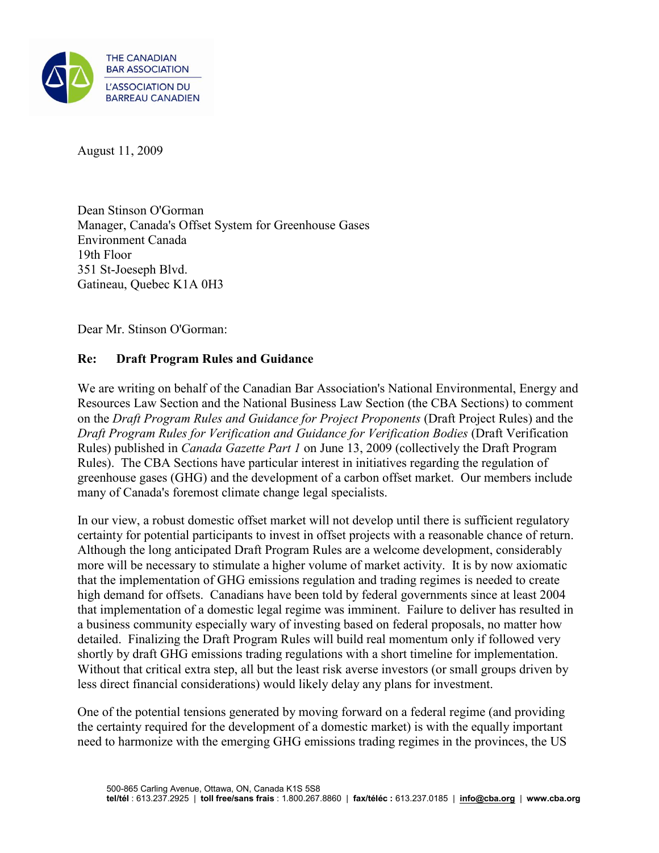

August 11, 2009

Dean Stinson O'Gorman Manager, Canada's Offset System for Greenhouse Gases Environment Canada 19th Floor 351 St-Joeseph Blvd. Gatineau, Quebec K1A 0H3

Dear Mr. Stinson O'Gorman:

# **Re: Draft Program Rules and Guidance**

We are writing on behalf of the Canadian Bar Association's National Environmental, Energy and Resources Law Section and the National Business Law Section (the CBA Sections) to comment on the *Draft Program Rules and Guidance for Project Proponents* (Draft Project Rules) and the *Draft Program Rules for Verification and Guidance for Verification Bodies* (Draft Verification Rules) published in *Canada Gazette Part 1* on June 13, 2009 (collectively the Draft Program Rules). The CBA Sections have particular interest in initiatives regarding the regulation of greenhouse gases (GHG) and the development of a carbon offset market. Our members include many of Canada's foremost climate change legal specialists.

In our view, a robust domestic offset market will not develop until there is sufficient regulatory certainty for potential participants to invest in offset projects with a reasonable chance of return. Although the long anticipated Draft Program Rules are a welcome development, considerably more will be necessary to stimulate a higher volume of market activity. It is by now axiomatic that the implementation of GHG emissions regulation and trading regimes is needed to create high demand for offsets. Canadians have been told by federal governments since at least 2004 that implementation of a domestic legal regime was imminent. Failure to deliver has resulted in a business community especially wary of investing based on federal proposals, no matter how detailed. Finalizing the Draft Program Rules will build real momentum only if followed very shortly by draft GHG emissions trading regulations with a short timeline for implementation. Without that critical extra step, all but the least risk averse investors (or small groups driven by less direct financial considerations) would likely delay any plans for investment.

One of the potential tensions generated by moving forward on a federal regime (and providing the certainty required for the development of a domestic market) is with the equally important need to harmonize with the emerging GHG emissions trading regimes in the provinces, the US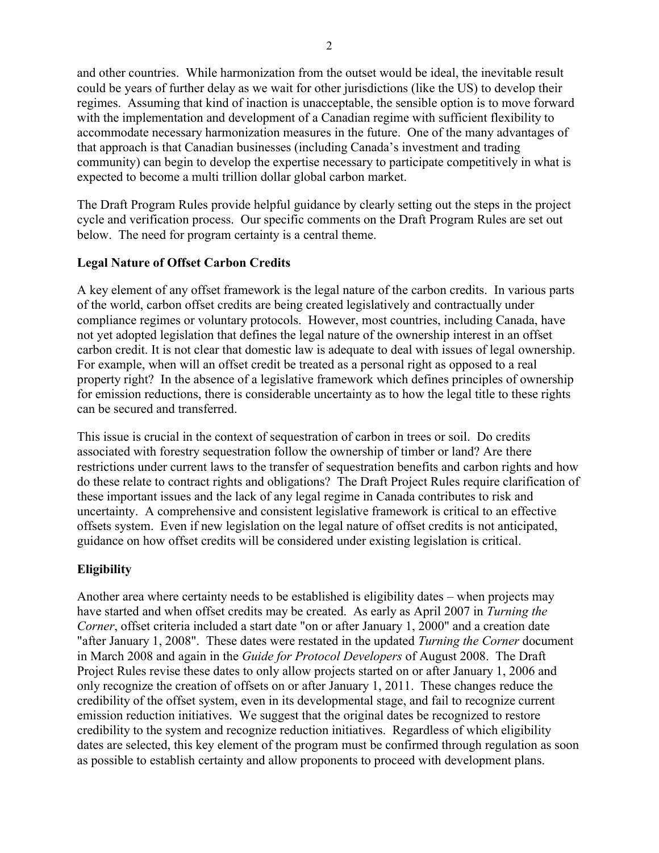and other countries. While harmonization from the outset would be ideal, the inevitable result could be years of further delay as we wait for other jurisdictions (like the US) to develop their regimes. Assuming that kind of inaction is unacceptable, the sensible option is to move forward with the implementation and development of a Canadian regime with sufficient flexibility to accommodate necessary harmonization measures in the future. One of the many advantages of that approach is that Canadian businesses (including Canada's investment and trading community) can begin to develop the expertise necessary to participate competitively in what is expected to become a multi trillion dollar global carbon market.

The Draft Program Rules provide helpful guidance by clearly setting out the steps in the project cycle and verification process. Our specific comments on the Draft Program Rules are set out below. The need for program certainty is a central theme.

## **Legal Nature of Offset Carbon Credits**

A key element of any offset framework is the legal nature of the carbon credits. In various parts of the world, carbon offset credits are being created legislatively and contractually under compliance regimes or voluntary protocols. However, most countries, including Canada, have not yet adopted legislation that defines the legal nature of the ownership interest in an offset carbon credit. It is not clear that domestic law is adequate to deal with issues of legal ownership. For example, when will an offset credit be treated as a personal right as opposed to a real property right? In the absence of a legislative framework which defines principles of ownership for emission reductions, there is considerable uncertainty as to how the legal title to these rights can be secured and transferred.

This issue is crucial in the context of sequestration of carbon in trees or soil. Do credits associated with forestry sequestration follow the ownership of timber or land? Are there restrictions under current laws to the transfer of sequestration benefits and carbon rights and how do these relate to contract rights and obligations? The Draft Project Rules require clarification of these important issues and the lack of any legal regime in Canada contributes to risk and uncertainty. A comprehensive and consistent legislative framework is critical to an effective offsets system. Even if new legislation on the legal nature of offset credits is not anticipated, guidance on how offset credits will be considered under existing legislation is critical.

# **Eligibility**

Another area where certainty needs to be established is eligibility dates – when projects may have started and when offset credits may be created. As early as April 2007 in *Turning the Corner*, offset criteria included a start date "on or after January 1, 2000" and a creation date "after January 1, 2008". These dates were restated in the updated *Turning the Corner* document in March 2008 and again in the *Guide for Protocol Developers* of August 2008. The Draft Project Rules revise these dates to only allow projects started on or after January 1, 2006 and only recognize the creation of offsets on or after January 1, 2011. These changes reduce the credibility of the offset system, even in its developmental stage, and fail to recognize current emission reduction initiatives. We suggest that the original dates be recognized to restore credibility to the system and recognize reduction initiatives. Regardless of which eligibility dates are selected, this key element of the program must be confirmed through regulation as soon as possible to establish certainty and allow proponents to proceed with development plans.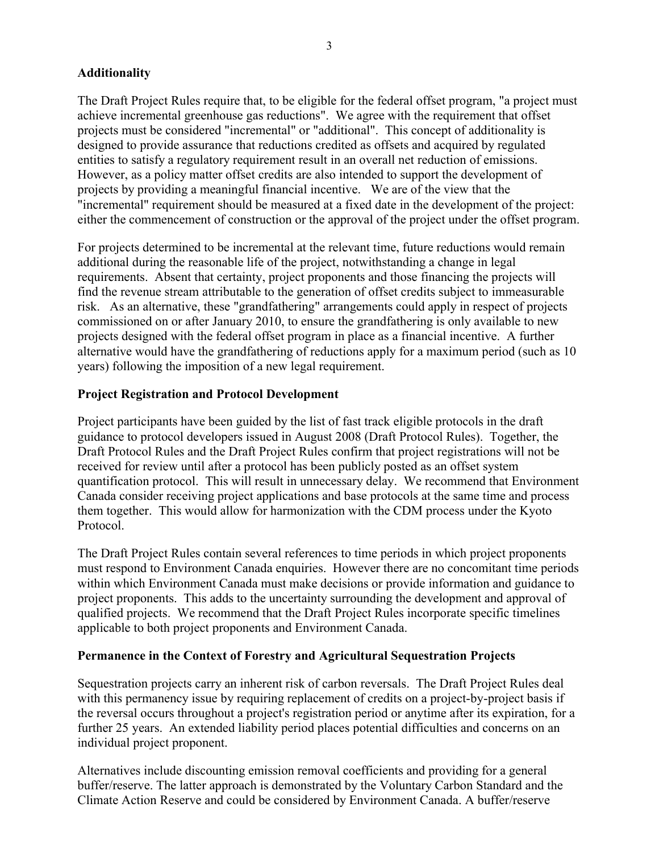## **Additionality**

The Draft Project Rules require that, to be eligible for the federal offset program, "a project must achieve incremental greenhouse gas reductions". We agree with the requirement that offset projects must be considered "incremental" or "additional". This concept of additionality is designed to provide assurance that reductions credited as offsets and acquired by regulated entities to satisfy a regulatory requirement result in an overall net reduction of emissions. However, as a policy matter offset credits are also intended to support the development of projects by providing a meaningful financial incentive. We are of the view that the "incremental" requirement should be measured at a fixed date in the development of the project: either the commencement of construction or the approval of the project under the offset program.

For projects determined to be incremental at the relevant time, future reductions would remain additional during the reasonable life of the project, notwithstanding a change in legal requirements. Absent that certainty, project proponents and those financing the projects will find the revenue stream attributable to the generation of offset credits subject to immeasurable risk. As an alternative, these "grandfathering" arrangements could apply in respect of projects commissioned on or after January 2010, to ensure the grandfathering is only available to new projects designed with the federal offset program in place as a financial incentive. A further alternative would have the grandfathering of reductions apply for a maximum period (such as 10 years) following the imposition of a new legal requirement.

## **Project Registration and Protocol Development**

Project participants have been guided by the list of fast track eligible protocols in the draft guidance to protocol developers issued in August 2008 (Draft Protocol Rules). Together, the Draft Protocol Rules and the Draft Project Rules confirm that project registrations will not be received for review until after a protocol has been publicly posted as an offset system quantification protocol. This will result in unnecessary delay. We recommend that Environment Canada consider receiving project applications and base protocols at the same time and process them together. This would allow for harmonization with the CDM process under the Kyoto Protocol.

The Draft Project Rules contain several references to time periods in which project proponents must respond to Environment Canada enquiries. However there are no concomitant time periods within which Environment Canada must make decisions or provide information and guidance to project proponents. This adds to the uncertainty surrounding the development and approval of qualified projects. We recommend that the Draft Project Rules incorporate specific timelines applicable to both project proponents and Environment Canada.

#### **Permanence in the Context of Forestry and Agricultural Sequestration Projects**

Sequestration projects carry an inherent risk of carbon reversals. The Draft Project Rules deal with this permanency issue by requiring replacement of credits on a project-by-project basis if the reversal occurs throughout a project's registration period or anytime after its expiration, for a further 25 years. An extended liability period places potential difficulties and concerns on an individual project proponent.

Alternatives include discounting emission removal coefficients and providing for a general buffer/reserve. The latter approach is demonstrated by the Voluntary Carbon Standard and the Climate Action Reserve and could be considered by Environment Canada. A buffer/reserve